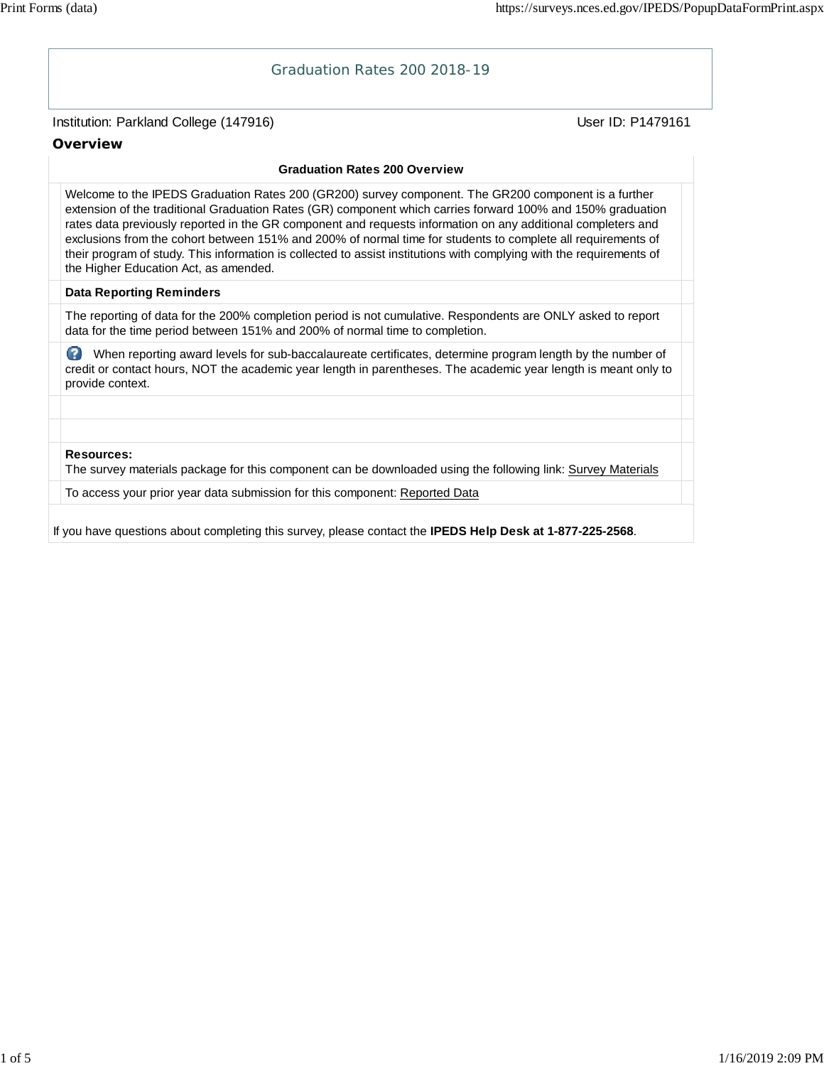# Institution: Parkland College (147916) November 2012 12: Physics User ID: P1479161 Graduation Rates 200 2018-19 **Overview Graduation Rates 200 Overview** Welcome to the IPEDS Graduation Rates 200 (GR200) survey component. The GR200 component is a further extension of the traditional Graduation Rates (GR) component which carries forward 100% and 150% graduation rates data previously reported in the GR component and requests information on any additional completers and exclusions from the cohort between 151% and 200% of normal time for students to complete all requirements of their program of study. This information is collected to assist institutions with complying with the requirements of the Higher Education Act, as amended. **Data Reporting Reminders** The reporting of data for the 200% completion period is not cumulative. Respondents are ONLY asked to report data for the time period between 151% and 200% of normal time to completion. When reporting award levels for sub-baccalaureate certificates, determine program length by the number of credit or contact hours, NOT the academic year length in parentheses. The academic year length is meant only to provide context. **Resources:** The survey materials package for this component can be downloaded using the following link: Survey Materials To access your prior year data submission for this component: Reported Data If you have questions about completing this survey, please contact the **IPEDS Help Desk at 1-877-225-2568**.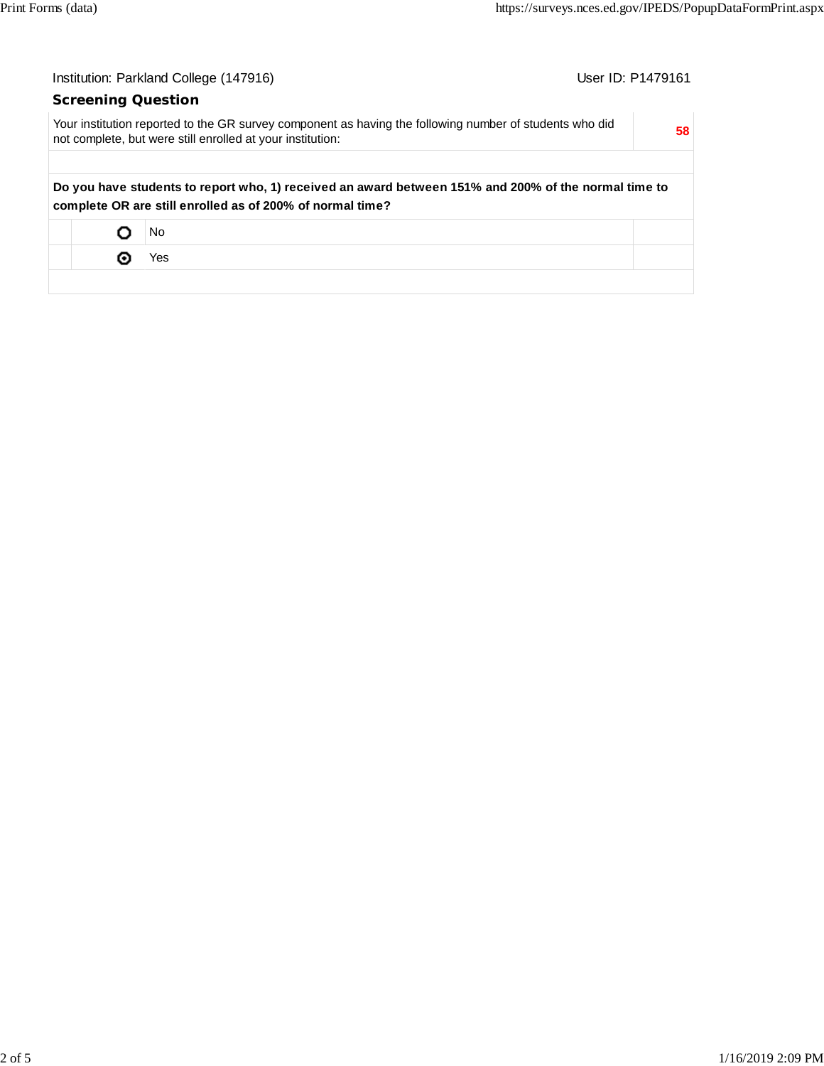| Institution: Parkland College (147916) |   |                                                                                                                                                                       | User ID: P1479161 |
|----------------------------------------|---|-----------------------------------------------------------------------------------------------------------------------------------------------------------------------|-------------------|
|                                        |   | <b>Screening Question</b>                                                                                                                                             |                   |
|                                        |   | Your institution reported to the GR survey component as having the following number of students who did<br>not complete, but were still enrolled at your institution: | 58                |
|                                        |   | Do you have students to report who, 1) received an award between 151% and 200% of the normal time to<br>complete OR are still enrolled as of 200% of normal time?     |                   |
|                                        | O | No                                                                                                                                                                    |                   |
|                                        | ⊚ | Yes                                                                                                                                                                   |                   |
|                                        |   |                                                                                                                                                                       |                   |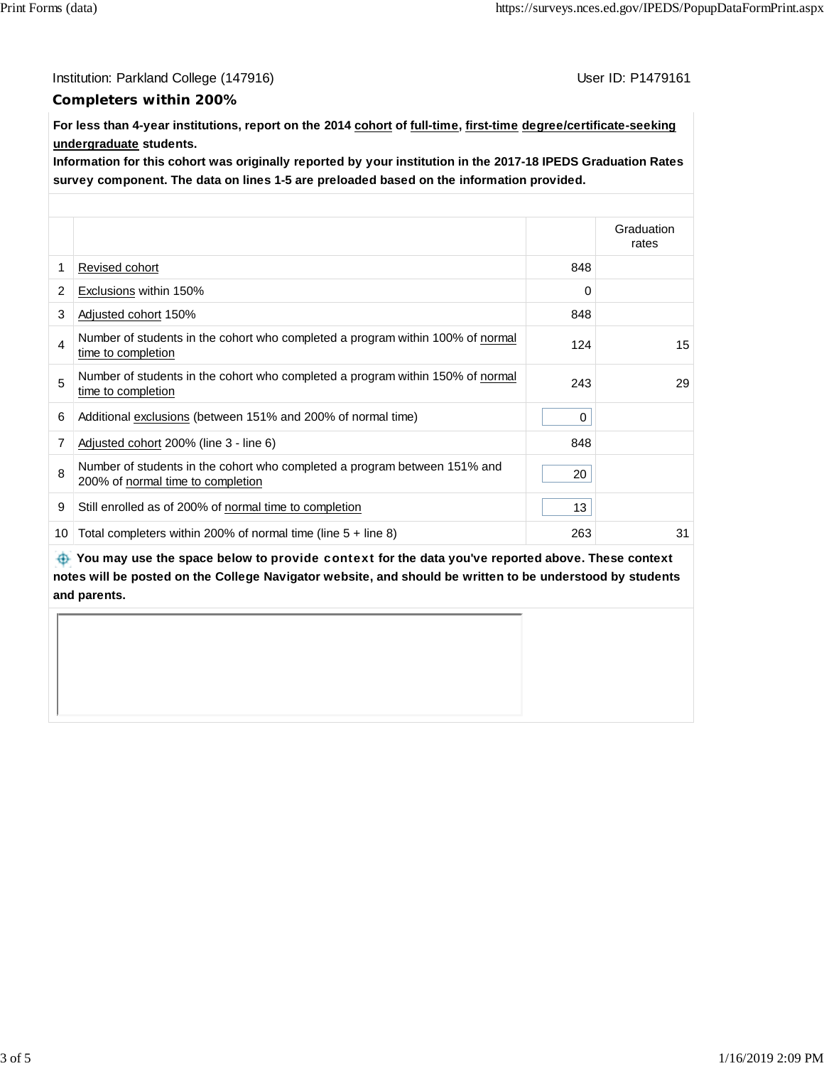Institution: Parkland College (147916) Contract College (147916)

#### **Completers within 200%**

**For less than 4-year institutions, report on the 2014 cohort of full-time, first-time degree/certificate-seeking undergraduate students.**

**Information for this cohort was originally reported by your institution in the 2017-18 IPEDS Graduation Rates survey component. The data on lines 1-5 are preloaded based on the information provided.**

|    |                                                                                                                |     | Graduation<br>rates |
|----|----------------------------------------------------------------------------------------------------------------|-----|---------------------|
| 1  | Revised cohort                                                                                                 | 848 |                     |
| 2  | Exclusions within 150%                                                                                         | 0   |                     |
| 3  | Adjusted cohort 150%                                                                                           | 848 |                     |
| 4  | Number of students in the cohort who completed a program within 100% of normal<br>time to completion           | 124 | 15                  |
| 5  | Number of students in the cohort who completed a program within 150% of normal<br>time to completion           | 243 | 29                  |
| 6  | Additional exclusions (between 151% and 200% of normal time)                                                   | 0   |                     |
| 7  | Adjusted cohort 200% (line 3 - line 6)                                                                         | 848 |                     |
| 8  | Number of students in the cohort who completed a program between 151% and<br>200% of normal time to completion | 20  |                     |
| 9  | Still enrolled as of 200% of normal time to completion                                                         | 13  |                     |
| 10 | Total completers within 200% of normal time (line $5 +$ line 8)                                                | 263 | 31                  |

 **You may use the space below to** provide context **for the data you've reported above. These context notes will be posted on the College Navigator website, and should be written to be understood by students and parents.**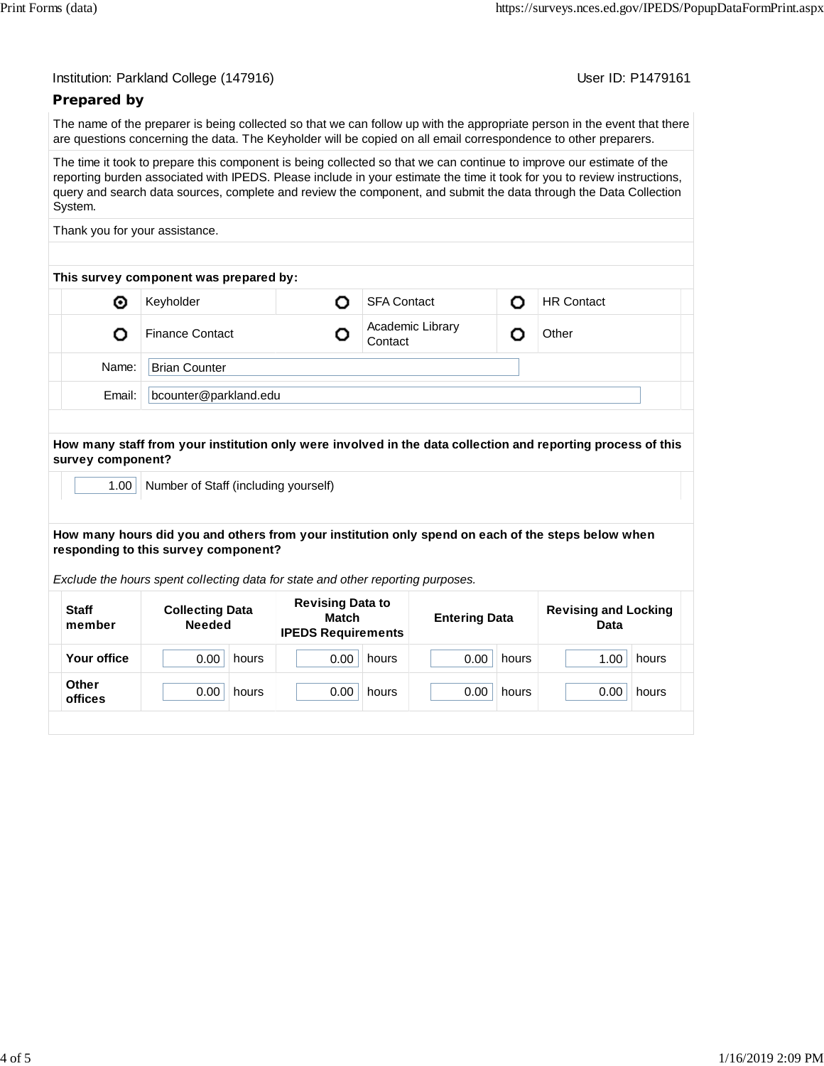| Institution: Parkland College (147916) |  |  |  |
|----------------------------------------|--|--|--|
|----------------------------------------|--|--|--|

User ID: P1479161

## **Prepared by**

The name of the preparer is being collected so that we can follow up with the appropriate person in the event that there are questions concerning the data. The Keyholder will be copied on all email correspondence to other preparers.

The time it took to prepare this component is being collected so that we can continue to improve our estimate of the reporting burden associated with IPEDS. Please include in your estimate the time it took for you to review instructions, query and search data sources, complete and review the component, and submit the data through the Data Collection System.

Thank you for your assistance.

| This survey component was prepared by: |  |                             |   |                   |  |  |  |  |
|----------------------------------------|--|-----------------------------|---|-------------------|--|--|--|--|
| Keyholder                              |  | <b>SFA Contact</b>          | O | <b>HR Contact</b> |  |  |  |  |
| <b>Finance Contact</b>                 |  | Academic Library<br>Contact |   | Other             |  |  |  |  |
| <b>Brian Counter</b>                   |  |                             |   |                   |  |  |  |  |
| bcounter@parkland.edu                  |  |                             |   |                   |  |  |  |  |
|                                        |  |                             |   |                   |  |  |  |  |

**How many staff from your institution only were involved in the data collection and reporting process of this survey component?**

1.00 | Number of Staff (including yourself)

**How many hours did you and others from your institution only spend on each of the steps below when responding to this survey component?**

*Exclude the hours spent collecting data for state and other reporting purposes.*

| <b>Staff</b><br>member | <b>Collecting Data</b><br><b>Needed</b> | <b>Revising Data to</b><br>Match<br><b>IPEDS Requirements</b> | <b>Entering Data</b> | <b>Revising and Locking</b><br>Data |  |
|------------------------|-----------------------------------------|---------------------------------------------------------------|----------------------|-------------------------------------|--|
| Your office            | 0.00                                    | 0.00                                                          | 0.00                 | 1.00                                |  |
|                        | hours                                   | hours                                                         | hours                | hours                               |  |
| <b>Other</b>           | 0.00                                    | 0.00                                                          | 0.00                 | 0.00                                |  |
| offices                | hours                                   | hours                                                         | hours                | hours                               |  |
|                        |                                         |                                                               |                      |                                     |  |